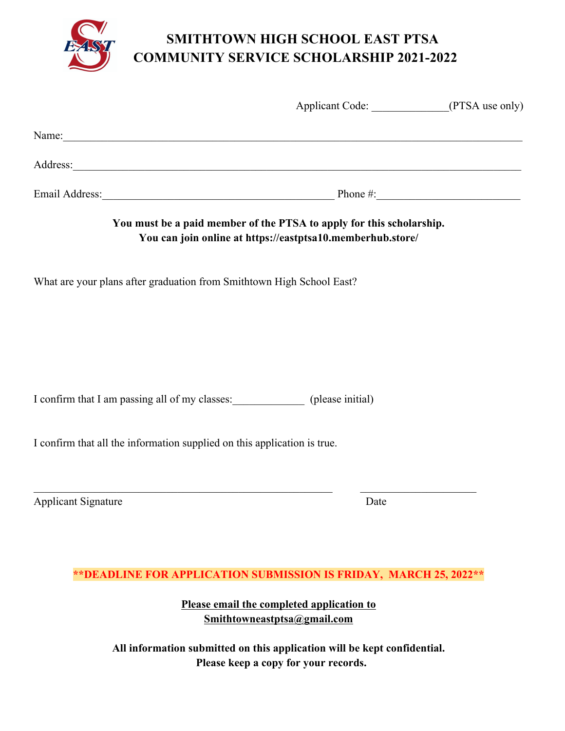

# **SMITHTOWN HIGH SCHOOL EAST PTSA COMMUNITY SERVICE SCHOLARSHIP 2021-2022**

|                                                                                                                                                                                                                                      |                                                            | Applicant Code: _______________(PTSA use only) |  |  |  |  |
|--------------------------------------------------------------------------------------------------------------------------------------------------------------------------------------------------------------------------------------|------------------------------------------------------------|------------------------------------------------|--|--|--|--|
| Name: Name:                                                                                                                                                                                                                          |                                                            |                                                |  |  |  |  |
| Address: <u>and the second contract of the second contract of the second contract of the second contract of the second contract of the second contract of the second contract of the second contract of the second contract of t</u> |                                                            |                                                |  |  |  |  |
|                                                                                                                                                                                                                                      | Email Address: Phone #:                                    |                                                |  |  |  |  |
| You must be a paid member of the PTSA to apply for this scholarship.                                                                                                                                                                 | You can join online at https://eastptsa10.memberhub.store/ |                                                |  |  |  |  |
| What are your plans after graduation from Smithtown High School East?                                                                                                                                                                |                                                            |                                                |  |  |  |  |
|                                                                                                                                                                                                                                      |                                                            |                                                |  |  |  |  |
|                                                                                                                                                                                                                                      |                                                            |                                                |  |  |  |  |
| I confirm that I am passing all of my classes: (please initial)                                                                                                                                                                      |                                                            |                                                |  |  |  |  |
|                                                                                                                                                                                                                                      |                                                            |                                                |  |  |  |  |
| I confirm that all the information supplied on this application is true.                                                                                                                                                             |                                                            |                                                |  |  |  |  |
|                                                                                                                                                                                                                                      |                                                            |                                                |  |  |  |  |
| <u> 1989 - Jan Barnett, fransk politiker (d. 1989)</u><br><b>Applicant Signature</b>                                                                                                                                                 | Date                                                       |                                                |  |  |  |  |
|                                                                                                                                                                                                                                      |                                                            |                                                |  |  |  |  |
| ** DEADLINE FOR APPLICATION SUBMISSION IS FRIDAY, MARCH 25, 2022**                                                                                                                                                                   |                                                            |                                                |  |  |  |  |
|                                                                                                                                                                                                                                      |                                                            |                                                |  |  |  |  |

**Please email the completed application to Smithtowneastptsa@gmail.com**

**All information submitted on this application will be kept confidential. Please keep a copy for your records.**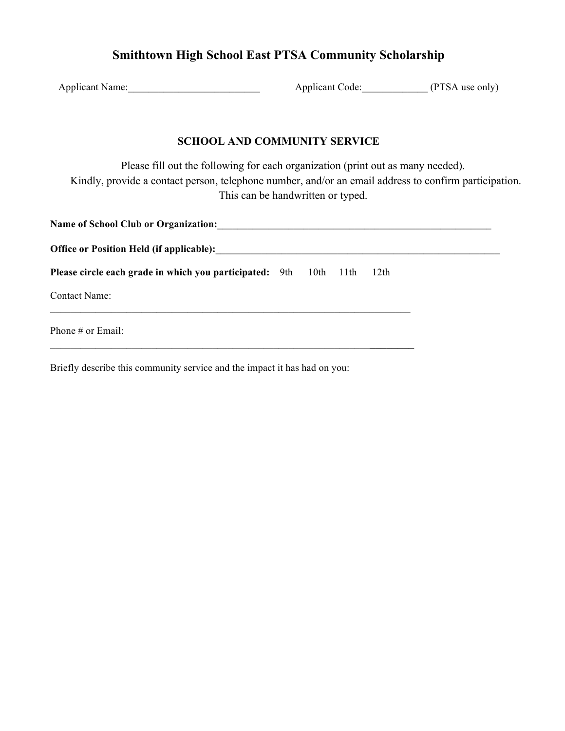## **Smithtown High School East PTSA Community Scholarship**

| <b>Applicant Name:</b> | <b>Applicant Code:</b> | (PTSA use only) |
|------------------------|------------------------|-----------------|
|------------------------|------------------------|-----------------|

#### **SCHOOL AND COMMUNITY SERVICE**

Please fill out the following for each organization (print out as many needed). Kindly, provide a contact person, telephone number, and/or an email address to confirm participation. This can be handwritten or typed.

| Name of School Club or Organization: Name of School Club or Organization: |           |      |  |  |
|---------------------------------------------------------------------------|-----------|------|--|--|
| Office or Position Held (if applicable):                                  |           |      |  |  |
| Please circle each grade in which you participated: 9th                   | 10th 11th | 12th |  |  |
| <b>Contact Name:</b>                                                      |           |      |  |  |
| Phone # or Email:                                                         |           |      |  |  |
|                                                                           |           |      |  |  |

Briefly describe this community service and the impact it has had on you: